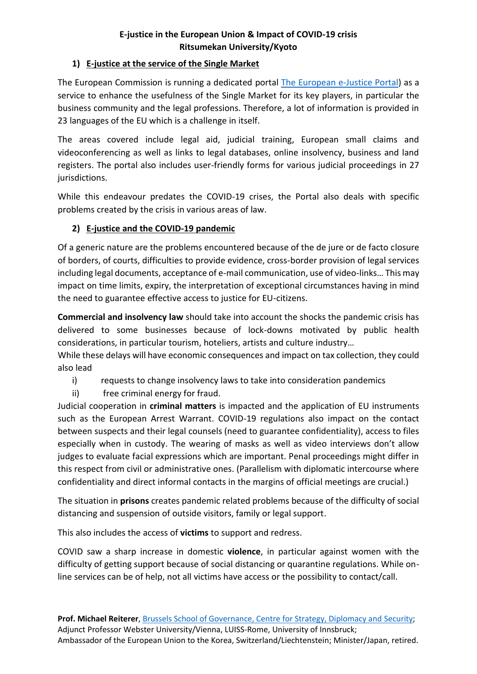## **E-justice in the European Union & Impact of COVID-19 crisis Ritsumekan University/Kyoto**

## **1) E-justice at the service of the Single Market**

The European Commission is running a dedicated portal [The European e-Justice Portal\)](https://beta.e-justice.europa.eu/?action=home&plang=en) as a service to enhance the usefulness of the Single Market for its key players, in particular the business community and the legal professions. Therefore, a lot of information is provided in 23 languages of the EU which is a challenge in itself.

The areas covered include legal aid, judicial training, European small claims and videoconferencing as well as links to legal databases, online insolvency, business and land registers. The portal also includes user-friendly forms for various judicial proceedings in 27 jurisdictions.

While this endeavour predates the COVID-19 crises, the Portal also deals with specific problems created by the crisis in various areas of law.

## **2) E-justice and the COVID-19 pandemic**

Of a generic nature are the problems encountered because of the de jure or de facto closure of borders, of courts, difficulties to provide evidence, cross-border provision of legal services including legal documents, acceptance of e-mail communication, use of video-links… This may impact on time limits, expiry, the interpretation of exceptional circumstances having in mind the need to guarantee effective access to justice for EU-citizens.

**Commercial and insolvency law** should take into account the shocks the pandemic crisis has delivered to some businesses because of lock-downs motivated by public health considerations, in particular tourism, hoteliers, artists and culture industry…

While these delays will have economic consequences and impact on tax collection, they could also lead

- i) requests to change insolvency laws to take into consideration pandemics
- ii) free criminal energy for fraud.

Judicial cooperation in **criminal matters** is impacted and the application of EU instruments such as the European Arrest Warrant. COVID-19 regulations also impact on the contact between suspects and their legal counsels (need to guarantee confidentiality), access to files especially when in custody. The wearing of masks as well as video interviews don't allow judges to evaluate facial expressions which are important. Penal proceedings might differ in this respect from civil or administrative ones. (Parallelism with diplomatic intercourse where confidentiality and direct informal contacts in the margins of official meetings are crucial.)

The situation in **prisons** creates pandemic related problems because of the difficulty of social distancing and suspension of outside visitors, family or legal support.

This also includes the access of **victims** to support and redress.

COVID saw a sharp increase in domestic **violence**, in particular against women with the difficulty of getting support because of social distancing or quarantine regulations. While online services can be of help, not all victims have access or the possibility to contact/call.